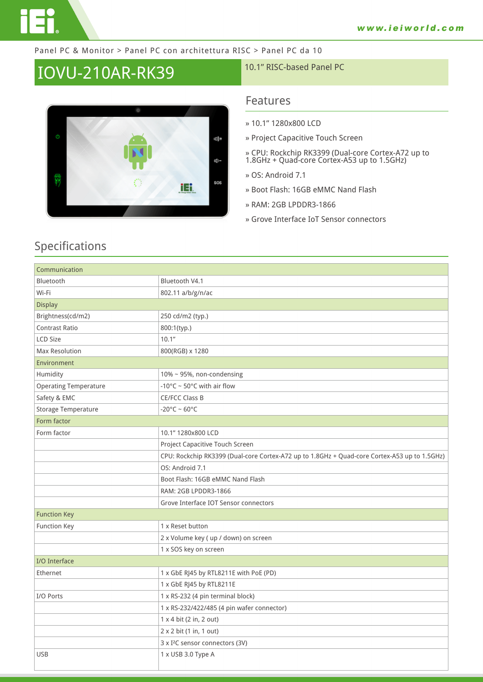#### Panel PC & Monitor > Panel PC con architettura RISC > Panel PC da 10

# IOVU-210AR-RK39 10.1" RISC-based Panel PC



USB 1 x USB 3.0 Type A

### **Features**

- **» 10.1" 1280x800 LCD**
- **» Project Capacitive Touch Screen**
- **» CPU: Rockchip RK3399 (Dual-core Cortex-A72 up to 1.8GHz + Quad-core Cortex-A53 up to 1.5GHz)**
- **» OS: Android 7.1**
- **» Boot Flash: 16GB eMMC Nand Flash**
- **» RAM: 2GB LPDDR3-1866**
- **» Grove Interface IoT Sensor connectors**

| Communication                |                                                                                              |
|------------------------------|----------------------------------------------------------------------------------------------|
| Bluetooth                    | Bluetooth V4.1                                                                               |
| Wi-Fi                        | 802.11 a/b/g/n/ac                                                                            |
| <b>Display</b>               |                                                                                              |
| Brightness(cd/m2)            | 250 cd/m2 (typ.)                                                                             |
| <b>Contrast Ratio</b>        | 800:1(typ.)                                                                                  |
| <b>LCD Size</b>              | 10.1"                                                                                        |
| Max Resolution               | 800(RGB) x 1280                                                                              |
| Environment                  |                                                                                              |
| Humidity                     | 10% ~ 95%, non-condensing                                                                    |
| <b>Operating Temperature</b> | -10 $\degree$ C ~ 50 $\degree$ C with air flow                                               |
| Safety & EMC                 | CE/FCC Class B                                                                               |
| <b>Storage Temperature</b>   | $-20^{\circ}$ C ~ 60°C                                                                       |
| Form factor                  |                                                                                              |
| Form factor                  | 10.1" 1280x800 LCD                                                                           |
|                              | Project Capacitive Touch Screen                                                              |
|                              | CPU: Rockchip RK3399 (Dual-core Cortex-A72 up to 1.8GHz + Quad-core Cortex-A53 up to 1.5GHz) |
|                              | OS: Android 7.1                                                                              |
|                              | Boot Flash: 16GB eMMC Nand Flash                                                             |
|                              | RAM: 2GB LPDDR3-1866                                                                         |
|                              | Grove Interface IOT Sensor connectors                                                        |
| <b>Function Key</b>          |                                                                                              |
| <b>Function Key</b>          | 1 x Reset button                                                                             |
|                              | 2 x Volume key ( up / down) on screen                                                        |
|                              | 1 x SOS key on screen                                                                        |
| I/O Interface                |                                                                                              |
| Ethernet                     | 1 x GbE RJ45 by RTL8211E with PoE (PD)                                                       |
|                              | 1 x GbE RJ45 by RTL8211E                                                                     |
| I/O Ports                    | 1 x RS-232 (4 pin terminal block)                                                            |
|                              | 1 x RS-232/422/485 (4 pin wafer connector)                                                   |
|                              | 1 x 4 bit (2 in, 2 out)                                                                      |
|                              | 2 x 2 bit (1 in, 1 out)                                                                      |
|                              | 3 x I <sup>2</sup> C sensor connectors (3V)                                                  |

## **Specifications**